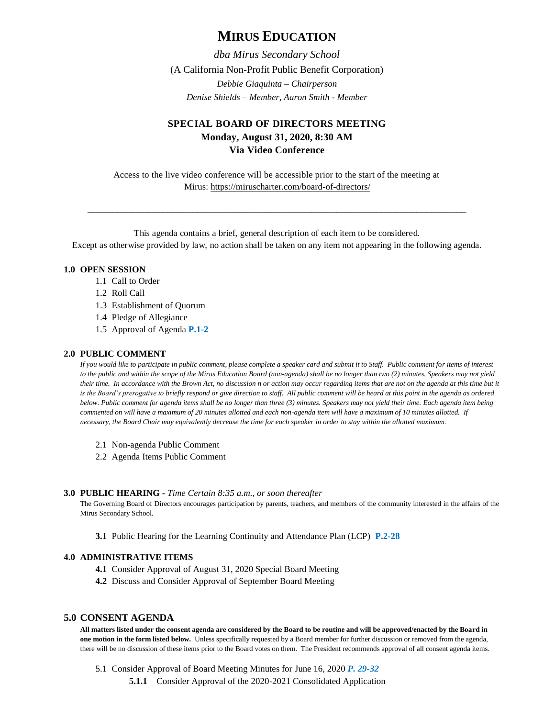# **MIRUS EDUCATION**

*dba Mirus Secondary School* (A California Non-Profit Public Benefit Corporation) *Debbie Giaquinta – Chairperson Denise Shields – Member, Aaron Smith - Member*

## **SPECIAL BOARD OF DIRECTORS MEETING Monday, August 31, 2020, 8:30 AM Via Video Conference**

Access to the live video conference will be accessible prior to the start of the meeting at Mirus:<https://miruscharter.com/board-of-directors/>

\_\_\_\_\_\_\_\_\_\_\_\_\_\_\_\_\_\_\_\_\_\_\_\_\_\_\_\_\_\_\_\_\_\_\_\_\_\_\_\_\_\_\_\_\_\_\_\_\_\_\_\_\_\_\_\_\_\_\_\_\_\_\_\_\_\_\_\_\_\_\_\_\_\_\_\_

This agenda contains a brief, general description of each item to be considered. Except as otherwise provided by law, no action shall be taken on any item not appearing in the following agenda.

### **1.0 OPEN SESSION**

- 1.1 Call to Order
- 1.2 Roll Call
- 1.3 Establishment of Quorum
- 1.4 Pledge of Allegiance
- 1.5 Approval of Agenda **P.1-2**

#### **2.0 PUBLIC COMMENT**

*If you would like to participate in public comment, please complete a speaker card and submit it to Staff. Public comment for items of interest to the public and within the scope of the Mirus Education Board (non-agenda) shall be no longer than two (2) minutes. Speakers may not yield their time. In accordance with the Brown Act, no discussion n or action may occur regarding items that are not on the agenda at this time but it*  is the Board's prerogative to briefly respond or give direction to staff. All public comment will be heard at this point in the agenda as ordered *below. Public comment for agenda items shall be no longer than three (3) minutes. Speakers may not yield their time. Each agenda item being commented on will have a maximum of 20 minutes allotted and each non-agenda item will have a maximum of 10 minutes allotted. If necessary, the Board Chair may equivalently decrease the time for each speaker in order to stay within the allotted maximum.*

- 2.1 Non-agenda Public Comment
- 2.2 Agenda Items Public Comment

#### **3.0 PUBLIC HEARING -** *Time Certain 8:35 a.m., or soon thereafter*

The Governing Board of Directors encourages participation by parents, teachers, and members of the community interested in the affairs of the Mirus Secondary School.

**3.1** Public Hearing for the Learning Continuity and Attendance Plan (LCP) **P.2-28**

#### **4.0 ADMINISTRATIVE ITEMS**

- **4.1** Consider Approval of August 31, 2020 Special Board Meeting
- **4.2** Discuss and Consider Approval of September Board Meeting

#### **5.0 CONSENT AGENDA**

**All matters listed under the consent agenda are considered by the Board to be routine and will be approved/enacted by the Board in one motion in the form listed below.** Unless specifically requested by a Board member for further discussion or removed from the agenda, there will be no discussion of these items prior to the Board votes on them. The President recommends approval of all consent agenda items.

5.1 Consider Approval of Board Meeting Minutes for June 16, 2020 *P. 29-32* **5.1.1** Consider Approval of the 2020-2021 Consolidated Application